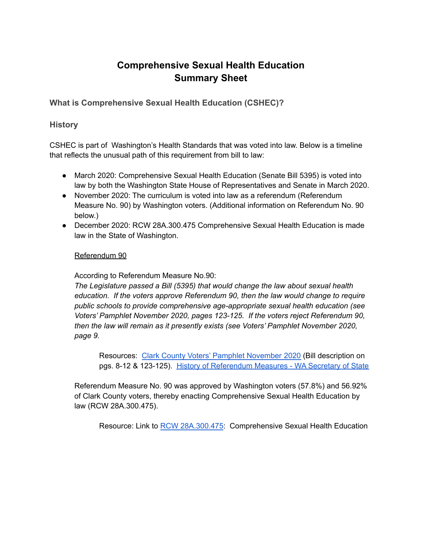# **Comprehensive Sexual Health Education Summary Sheet**

**What is Comprehensive Sexual Health Education (CSHEC)?**

#### **History**

CSHEC is part of Washington's Health Standards that was voted into law. Below is a timeline that reflects the unusual path of this requirement from bill to law:

- March 2020: Comprehensive Sexual Health Education (Senate Bill 5395) is voted into law by both the Washington State House of Representatives and Senate in March 2020.
- November 2020: The curriculum is voted into law as a referendum (Referendum Measure No. 90) by Washington voters. (Additional information on Referendum No. 90 below.)
- December 2020: RCW 28A.300.475 Comprehensive Sexual Health Education is made law in the State of Washington.

#### Referendum 90

According to Referendum Measure No.90:

*The Legislature passed a Bill (5395) that would change the law about sexual health education. If the voters approve Referendum 90, then the law would change to require public schools to provide comprehensive age-appropriate sexual health education (see Voters' Pamphlet November 2020, pages 123-125. If the voters reject Referendum 90, then the law will remain as it presently exists (see Voters' Pamphlet November 2020, page 9.*

Resources: Clark County Voters' Pamphlet [November](https://clark.wa.gov/sites/default/files/2020-09/State%20Voters%20Pamphlet%20-%20Clark%20Edition_0.pdf) 2020 (Bill description on pgs. 8-12 & 123-125). History of [Referendum](https://www.sos.wa.gov/elections/initiatives/statistics_referendummeasures.aspx) Measures - WA Secretary of State

Referendum Measure No. 90 was approved by Washington voters (57.8%) and 56.92% of Clark County voters, thereby enacting Comprehensive Sexual Health Education by law (RCW 28A.300.475).

Resource: Link to RCW [28A.300.475](https://app.leg.wa.gov/rcw/default.aspx?cite=28A.300.475): Comprehensive Sexual Health Education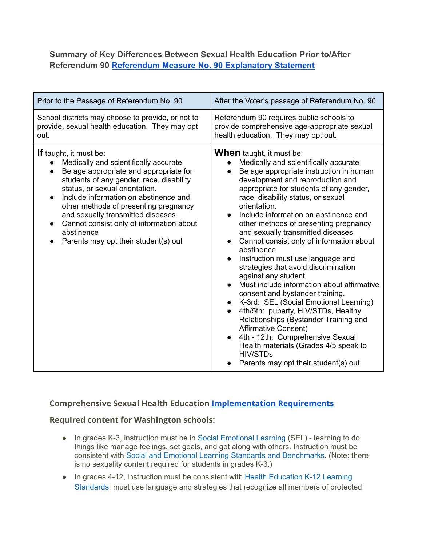#### **Summary of Key Differences Between Sexual Health Education Prior to/After Referendum 90 [Referendum Measure No. 90 Explanatory](https://www.sos.wa.gov/_assets/elections/voters-guide/2020/2020_r90web.pdf) Statement**

| Prior to the Passage of Referendum No. 90                                                                                                                                                                                                                                                                                                                                                                                            | After the Voter's passage of Referendum No. 90                                                                                                                                                                                                                                                                                                                                                                                                                                                                                                                                                                                                                                                                                                                                                                                                                                                                                                |
|--------------------------------------------------------------------------------------------------------------------------------------------------------------------------------------------------------------------------------------------------------------------------------------------------------------------------------------------------------------------------------------------------------------------------------------|-----------------------------------------------------------------------------------------------------------------------------------------------------------------------------------------------------------------------------------------------------------------------------------------------------------------------------------------------------------------------------------------------------------------------------------------------------------------------------------------------------------------------------------------------------------------------------------------------------------------------------------------------------------------------------------------------------------------------------------------------------------------------------------------------------------------------------------------------------------------------------------------------------------------------------------------------|
| School districts may choose to provide, or not to<br>provide, sexual health education. They may opt<br>out.                                                                                                                                                                                                                                                                                                                          | Referendum 90 requires public schools to<br>provide comprehensive age-appropriate sexual<br>health education. They may opt out.                                                                                                                                                                                                                                                                                                                                                                                                                                                                                                                                                                                                                                                                                                                                                                                                               |
| <b>If</b> taught, it must be:<br>Medically and scientifically accurate<br>Be age appropriate and appropriate for<br>$\bullet$<br>students of any gender, race, disability<br>status, or sexual orientation.<br>Include information on abstinence and<br>other methods of presenting pregnancy<br>and sexually transmitted diseases<br>Cannot consist only of information about<br>abstinence<br>Parents may opt their student(s) out | <b>When</b> taught, it must be:<br>Medically and scientifically accurate<br>Be age appropriate instruction in human<br>$\bullet$<br>development and reproduction and<br>appropriate for students of any gender,<br>race, disability status, or sexual<br>orientation.<br>Include information on abstinence and<br>other methods of presenting pregnancy<br>and sexually transmitted diseases<br>Cannot consist only of information about<br>abstinence<br>Instruction must use language and<br>strategies that avoid discrimination<br>against any student.<br>Must include information about affirmative<br>consent and bystander training.<br>K-3rd: SEL (Social Emotional Learning)<br>4th/5th: puberty, HIV/STDs, Healthy<br>Relationships (Bystander Training and<br><b>Affirmative Consent)</b><br>4th - 12th: Comprehensive Sexual<br>Health materials (Grades 4/5 speak to<br><b>HIV/STDs</b><br>Parents may opt their student(s) out |

#### **Comprehensive Sexual Health Education [Implementation](https://www.k12.wa.us/student-success/resources-subject-area/sexual-health-education/comprehensive-sexual-health-education-implementation) Requirements**

#### **Required content for Washington schools:**

- In grades K-3, instruction must be in Social [Emotional](https://www.k12.wa.us/sites/default/files/public/studentsupport/sel/pubdocs/Appendix%20D%20Standards%2C%20Benchmarks%20Indicators.pdf) Learning (SEL) learning to do things like manage feelings, set goals, and get along with others. Instruction must be consistent with Social and Emotional Learning Standards and [Benchmarks.](https://www.k12.wa.us/sites/default/files/public/studentsupport/sel/pubdocs/WA%20K-12%20SEL%20Standards%2C%20Benchmarks%2C%20Indicators%20Grid%203.12.20.pdf) (Note: there is no sexuality content required for students in grades K-3.)
- In grades 4-12, instruction must be consistent with Health [Education](https://www.k12.wa.us/student-success/resources-subject-area/health-and-physical-education/k%E2%80%9312-learning-standards) K-12 Learning [Standards](https://www.k12.wa.us/student-success/resources-subject-area/health-and-physical-education/k%E2%80%9312-learning-standards), must use language and strategies that recognize all members of protected